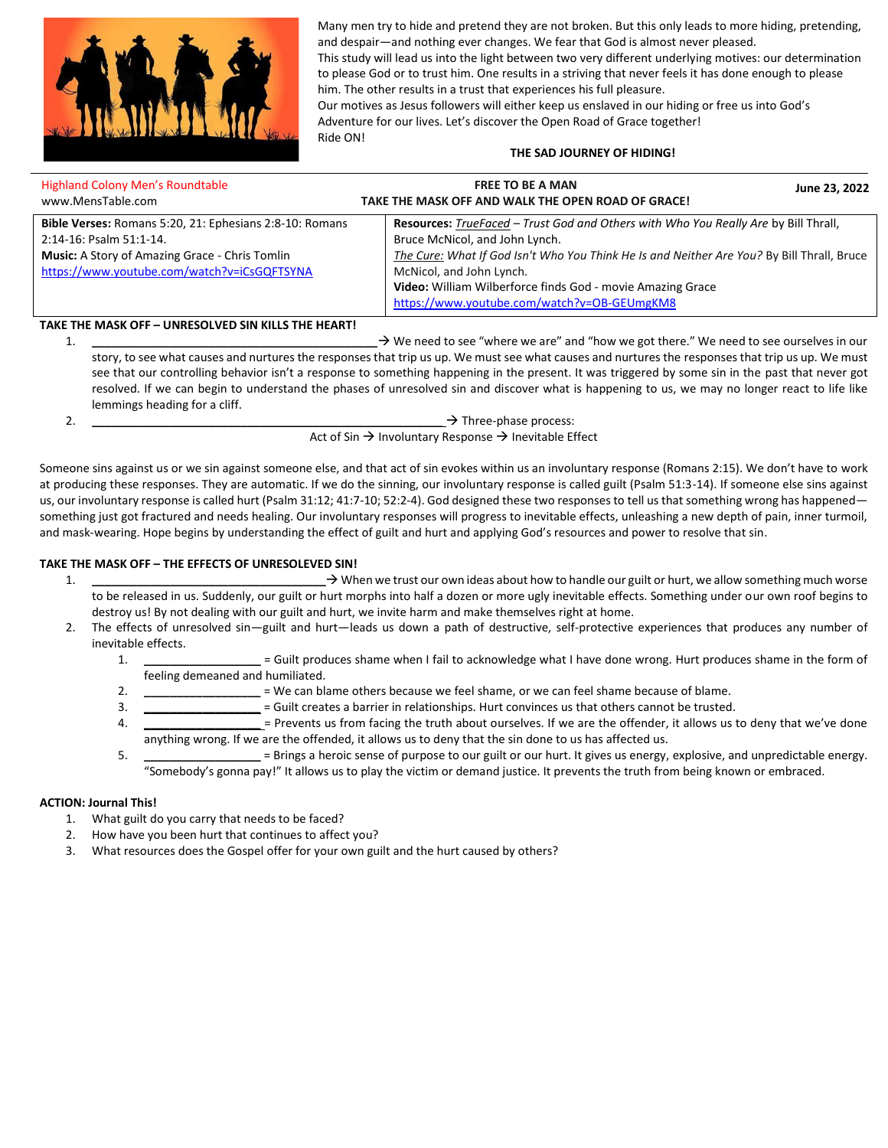

Many men try to hide and pretend they are not broken. But this only leads to more hiding, pretending, and despair—and nothing ever changes. We fear that God is almost never pleased.

This study will lead us into the light between two very different underlying motives: our determination to please God or to trust him. One results in a striving that never feels it has done enough to please him. The other results in a trust that experiences his full pleasure.

Our motives as Jesus followers will either keep us enslaved in our hiding or free us into God's Adventure for our lives. Let's discover the Open Road of Grace together! Ride ON!

# **THE SAD JOURNEY OF HIDING!**

| <b>Highland Colony Men's Roundtable</b><br>www.MensTable.com                                                                                                                               | <b>FREE TO BE A MAN</b><br>June 23, 2022<br>TAKE THE MASK OFF AND WALK THE OPEN ROAD OF GRACE!                                                                                                                                                                                                                                                               |
|--------------------------------------------------------------------------------------------------------------------------------------------------------------------------------------------|--------------------------------------------------------------------------------------------------------------------------------------------------------------------------------------------------------------------------------------------------------------------------------------------------------------------------------------------------------------|
| Bible Verses: Romans 5:20, 21: Ephesians 2:8-10: Romans<br>2:14-16: Psalm 51:1-14.<br><b>Music:</b> A Story of Amazing Grace - Chris Tomlin<br>https://www.youtube.com/watch?v=iCsGQFTSYNA | Resources: TrueFaced - Trust God and Others with Who You Really Are by Bill Thrall,<br>Bruce McNicol, and John Lynch.<br>The Cure: What If God Isn't Who You Think He Is and Neither Are You? By Bill Thrall, Bruce<br>McNicol, and John Lynch.<br>Video: William Wilberforce finds God - movie Amazing Grace<br>https://www.youtube.com/watch?v=OB-GEUmgKM8 |
| <b>TAVE THE MACK OFF. INDECOUVED CINIVILLE THE HEADTL</b>                                                                                                                                  |                                                                                                                                                                                                                                                                                                                                                              |

### **TAKE THE MASK OFF – UNRESOLVED SIN KILLS THE HEART!**

1. **\_\_\_\_\_\_\_\_\_\_\_\_\_\_\_\_\_\_\_\_\_\_\_\_\_\_\_\_\_\_\_\_\_\_\_\_\_\_\_\_\_\_\_\_**→ We need to see "where we are" and "how we got there." We need to see ourselves in our story, to see what causes and nurtures the responses that trip us up. We must see what causes and nurtures the responses that trip us up. We must see that our controlling behavior isn't a response to something happening in the present. It was triggered by some sin in the past that never got resolved. If we can begin to understand the phases of unresolved sin and discover what is happening to us, we may no longer react to life like lemmings heading for a cliff.

2.  $\rightarrow$  Three-phase process: Act of Sin  $\rightarrow$  Involuntary Response  $\rightarrow$  Inevitable Effect

Someone sins against us or we sin against someone else, and that act of sin evokes within us an involuntary response (Romans 2:15). We don't have to work at producing these responses. They are automatic. If we do the sinning, our involuntary response is called guilt (Psalm 51:3-14). If someone else sins against us, our involuntary response is called hurt (Psalm 31:12; 41:7-10; 52:2-4). God designed these two responses to tell us that something wrong has happened something just got fractured and needs healing. Our involuntary responses will progress to inevitable effects, unleashing a new depth of pain, inner turmoil, and mask-wearing. Hope begins by understanding the effect of guilt and hurt and applying God's resources and power to resolve that sin.

### **TAKE THE MASK OFF – THE EFFECTS OF UNRESOLEVED SIN!**

- 1. **\_\_\_\_\_\_\_\_\_\_\_\_\_\_\_\_\_\_\_\_\_\_\_\_\_\_\_\_\_\_\_\_\_\_\_\_**→ When we trust our own ideas about how to handle our guilt or hurt, we allow something much worse to be released in us. Suddenly, our guilt or hurt morphs into half a dozen or more ugly inevitable effects. Something under our own roof begins to destroy us! By not dealing with our guilt and hurt, we invite harm and make themselves right at home.
- 2. The effects of unresolved sin—guilt and hurt—leads us down a path of destructive, self-protective experiences that produces any number of inevitable effects.
	- 1. **\_\_\_\_\_\_\_\_\_\_\_\_\_\_\_\_\_\_** = Guilt produces shame when I fail to acknowledge what I have done wrong. Hurt produces shame in the form of feeling demeaned and humiliated.
	- 2. **\_\_\_\_\_\_\_\_\_\_\_\_\_\_\_\_\_\_** = We can blame others because we feel shame, or we can feel shame because of blame.
	- 3. **\_\_\_\_\_\_\_\_\_\_\_\_\_\_\_\_\_\_** = Guilt creates a barrier in relationships. Hurt convinces us that others cannot be trusted.
	- 4. **\_\_\_\_\_\_\_\_\_\_\_\_\_\_\_\_\_\_** = Prevents us from facing the truth about ourselves. If we are the offender, it allows us to deny that we've done anything wrong. If we are the offended, it allows us to deny that the sin done to us has affected us.
	- 5. **\_\_\_\_\_\_\_\_\_\_\_\_\_\_\_\_\_\_** = Brings a heroic sense of purpose to our guilt or our hurt. It gives us energy, explosive, and unpredictable energy. "Somebody's gonna pay!" It allows us to play the victim or demand justice. It prevents the truth from being known or embraced.

# **ACTION: Journal This!**

- 1. What guilt do you carry that needs to be faced?
- 2. How have you been hurt that continues to affect you?
- 3. What resources does the Gospel offer for your own guilt and the hurt caused by others?